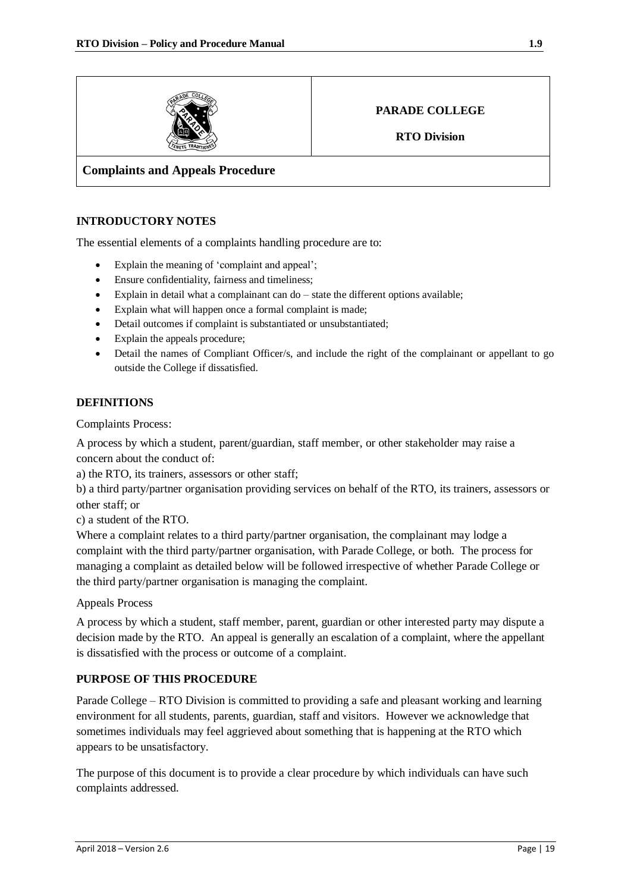

# **PARADE COLLEGE**

**RTO Division**

## **Complaints and Appeals Procedure**

#### **INTRODUCTORY NOTES**

The essential elements of a complaints handling procedure are to:

- Explain the meaning of 'complaint and appeal';
- Ensure confidentiality, fairness and timeliness;
- Explain in detail what a complainant can do state the different options available;
- Explain what will happen once a formal complaint is made;
- Detail outcomes if complaint is substantiated or unsubstantiated;
- Explain the appeals procedure;
- Detail the names of Compliant Officer/s, and include the right of the complainant or appellant to go outside the College if dissatisfied.

#### **DEFINITIONS**

Complaints Process:

A process by which a student, parent/guardian, staff member, or other stakeholder may raise a concern about the conduct of:

a) the RTO, its trainers, assessors or other staff;

b) a third party/partner organisation providing services on behalf of the RTO, its trainers, assessors or other staff; or

c) a student of the RTO.

Where a complaint relates to a third party/partner organisation, the complainant may lodge a complaint with the third party/partner organisation, with Parade College, or both. The process for managing a complaint as detailed below will be followed irrespective of whether Parade College or the third party/partner organisation is managing the complaint.

Appeals Process

A process by which a student, staff member, parent, guardian or other interested party may dispute a decision made by the RTO. An appeal is generally an escalation of a complaint, where the appellant is dissatisfied with the process or outcome of a complaint.

#### **PURPOSE OF THIS PROCEDURE**

Parade College – RTO Division is committed to providing a safe and pleasant working and learning environment for all students, parents, guardian, staff and visitors. However we acknowledge that sometimes individuals may feel aggrieved about something that is happening at the RTO which appears to be unsatisfactory.

The purpose of this document is to provide a clear procedure by which individuals can have such complaints addressed.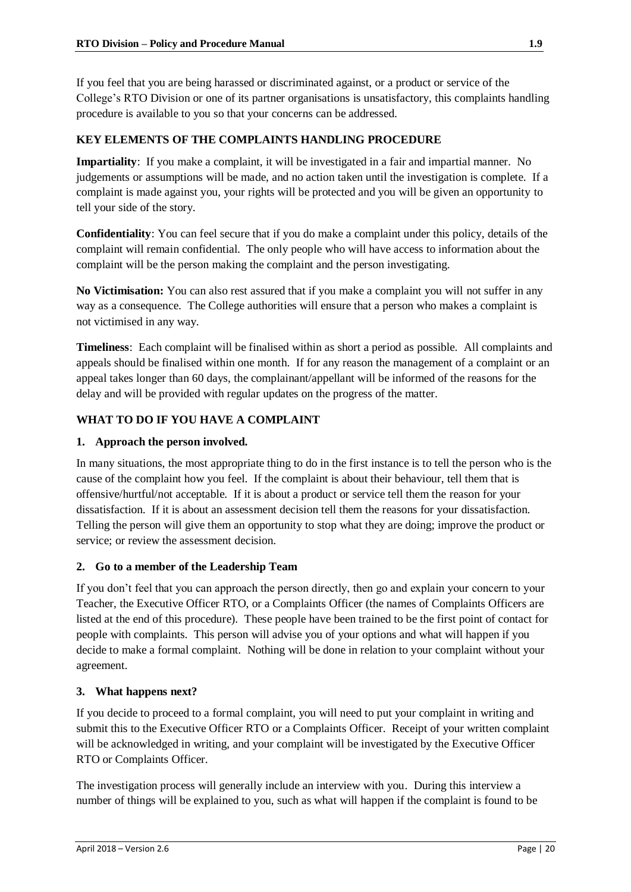If you feel that you are being harassed or discriminated against, or a product or service of the College's RTO Division or one of its partner organisations is unsatisfactory, this complaints handling procedure is available to you so that your concerns can be addressed.

# **KEY ELEMENTS OF THE COMPLAINTS HANDLING PROCEDURE**

**Impartiality**: If you make a complaint, it will be investigated in a fair and impartial manner. No judgements or assumptions will be made, and no action taken until the investigation is complete. If a complaint is made against you, your rights will be protected and you will be given an opportunity to tell your side of the story.

**Confidentiality**: You can feel secure that if you do make a complaint under this policy, details of the complaint will remain confidential. The only people who will have access to information about the complaint will be the person making the complaint and the person investigating.

**No Victimisation:** You can also rest assured that if you make a complaint you will not suffer in any way as a consequence. The College authorities will ensure that a person who makes a complaint is not victimised in any way.

**Timeliness**: Each complaint will be finalised within as short a period as possible. All complaints and appeals should be finalised within one month. If for any reason the management of a complaint or an appeal takes longer than 60 days, the complainant/appellant will be informed of the reasons for the delay and will be provided with regular updates on the progress of the matter.

# **WHAT TO DO IF YOU HAVE A COMPLAINT**

## **1. Approach the person involved.**

In many situations, the most appropriate thing to do in the first instance is to tell the person who is the cause of the complaint how you feel. If the complaint is about their behaviour, tell them that is offensive/hurtful/not acceptable. If it is about a product or service tell them the reason for your dissatisfaction. If it is about an assessment decision tell them the reasons for your dissatisfaction. Telling the person will give them an opportunity to stop what they are doing; improve the product or service; or review the assessment decision.

## **2. Go to a member of the Leadership Team**

If you don't feel that you can approach the person directly, then go and explain your concern to your Teacher, the Executive Officer RTO, or a Complaints Officer (the names of Complaints Officers are listed at the end of this procedure). These people have been trained to be the first point of contact for people with complaints. This person will advise you of your options and what will happen if you decide to make a formal complaint. Nothing will be done in relation to your complaint without your agreement.

## **3. What happens next?**

If you decide to proceed to a formal complaint, you will need to put your complaint in writing and submit this to the Executive Officer RTO or a Complaints Officer. Receipt of your written complaint will be acknowledged in writing, and your complaint will be investigated by the Executive Officer RTO or Complaints Officer.

The investigation process will generally include an interview with you. During this interview a number of things will be explained to you, such as what will happen if the complaint is found to be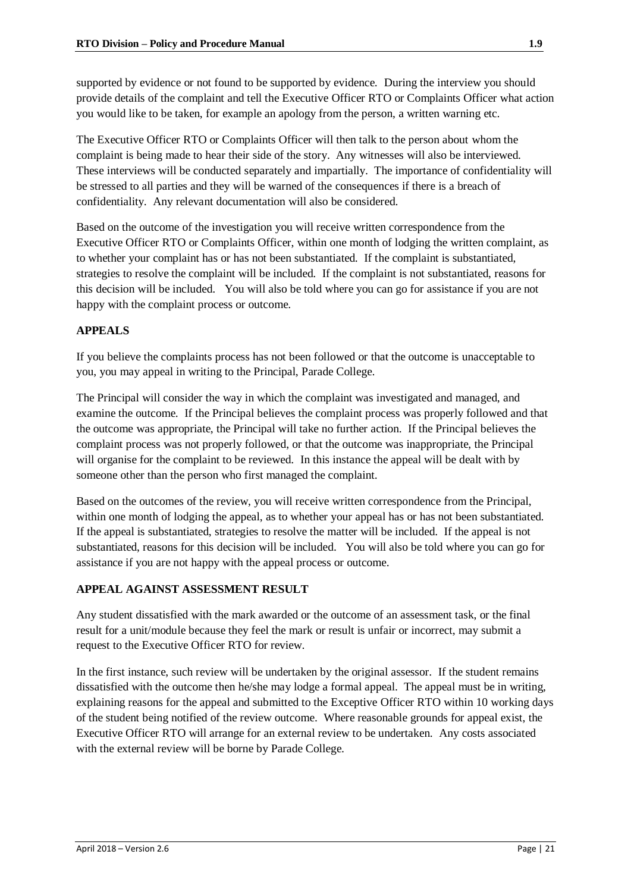supported by evidence or not found to be supported by evidence. During the interview you should provide details of the complaint and tell the Executive Officer RTO or Complaints Officer what action you would like to be taken, for example an apology from the person, a written warning etc.

The Executive Officer RTO or Complaints Officer will then talk to the person about whom the complaint is being made to hear their side of the story. Any witnesses will also be interviewed. These interviews will be conducted separately and impartially. The importance of confidentiality will be stressed to all parties and they will be warned of the consequences if there is a breach of confidentiality. Any relevant documentation will also be considered.

Based on the outcome of the investigation you will receive written correspondence from the Executive Officer RTO or Complaints Officer, within one month of lodging the written complaint, as to whether your complaint has or has not been substantiated. If the complaint is substantiated, strategies to resolve the complaint will be included. If the complaint is not substantiated, reasons for this decision will be included. You will also be told where you can go for assistance if you are not happy with the complaint process or outcome.

# **APPEALS**

If you believe the complaints process has not been followed or that the outcome is unacceptable to you, you may appeal in writing to the Principal, Parade College.

The Principal will consider the way in which the complaint was investigated and managed, and examine the outcome. If the Principal believes the complaint process was properly followed and that the outcome was appropriate, the Principal will take no further action. If the Principal believes the complaint process was not properly followed, or that the outcome was inappropriate, the Principal will organise for the complaint to be reviewed. In this instance the appeal will be dealt with by someone other than the person who first managed the complaint.

Based on the outcomes of the review, you will receive written correspondence from the Principal, within one month of lodging the appeal, as to whether your appeal has or has not been substantiated. If the appeal is substantiated, strategies to resolve the matter will be included. If the appeal is not substantiated, reasons for this decision will be included. You will also be told where you can go for assistance if you are not happy with the appeal process or outcome.

## **APPEAL AGAINST ASSESSMENT RESULT**

Any student dissatisfied with the mark awarded or the outcome of an assessment task, or the final result for a unit/module because they feel the mark or result is unfair or incorrect, may submit a request to the Executive Officer RTO for review.

In the first instance, such review will be undertaken by the original assessor. If the student remains dissatisfied with the outcome then he/she may lodge a formal appeal. The appeal must be in writing, explaining reasons for the appeal and submitted to the Exceptive Officer RTO within 10 working days of the student being notified of the review outcome. Where reasonable grounds for appeal exist, the Executive Officer RTO will arrange for an external review to be undertaken. Any costs associated with the external review will be borne by Parade College.